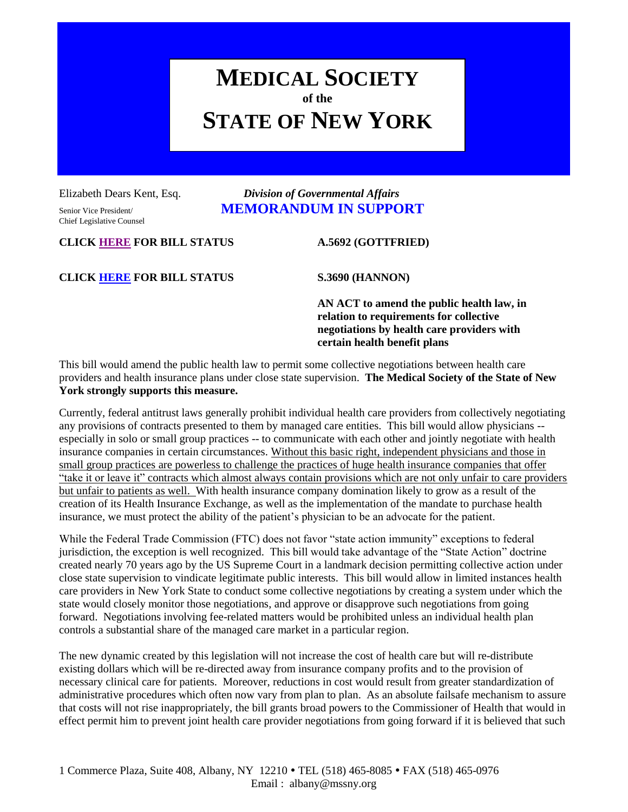# **MEDICAL SOCIETY of the STATE OF NEW YORK**

Chief Legislative Counsel

# Elizabeth Dears Kent, Esq. *Division of Governmental Affairs* Senior Vice President/ **MEMORANDUM IN SUPPORT**

**CLICK [HERE](http://assembly.state.ny.us/leg/?default_fld=%0D%0A&bn=A05692+&term=&Summary=Y&Actions=Y) FOR BILL STATUS A.5692 (GOTTFRIED)**

**CLICK [HERE](http://assembly.state.ny.us/leg/?default_fld=&bn=S03690&term=2013&Summary=Y&Actions=Y) FOR BILL STATUS S.3690 (HANNON)**

**AN ACT to amend the public health law, in relation to requirements for collective negotiations by health care providers with certain health benefit plans**

This bill would amend the public health law to permit some collective negotiations between health care providers and health insurance plans under close state supervision. **The Medical Society of the State of New York strongly supports this measure.**

Currently, federal antitrust laws generally prohibit individual health care providers from collectively negotiating any provisions of contracts presented to them by managed care entities. This bill would allow physicians - especially in solo or small group practices -- to communicate with each other and jointly negotiate with health insurance companies in certain circumstances. Without this basic right, independent physicians and those in small group practices are powerless to challenge the practices of huge health insurance companies that offer "take it or leave it" contracts which almost always contain provisions which are not only unfair to care providers but unfair to patients as well. With health insurance company domination likely to grow as a result of the creation of its Health Insurance Exchange, as well as the implementation of the mandate to purchase health insurance, we must protect the ability of the patient's physician to be an advocate for the patient.

While the Federal Trade Commission (FTC) does not favor "state action immunity" exceptions to federal jurisdiction, the exception is well recognized. This bill would take advantage of the "State Action" doctrine created nearly 70 years ago by the US Supreme Court in a landmark decision permitting collective action under close state supervision to vindicate legitimate public interests. This bill would allow in limited instances health care providers in New York State to conduct some collective negotiations by creating a system under which the state would closely monitor those negotiations, and approve or disapprove such negotiations from going forward. Negotiations involving fee-related matters would be prohibited unless an individual health plan controls a substantial share of the managed care market in a particular region.

The new dynamic created by this legislation will not increase the cost of health care but will re-distribute existing dollars which will be re-directed away from insurance company profits and to the provision of necessary clinical care for patients. Moreover, reductions in cost would result from greater standardization of administrative procedures which often now vary from plan to plan. As an absolute failsafe mechanism to assure that costs will not rise inappropriately, the bill grants broad powers to the Commissioner of Health that would in effect permit him to prevent joint health care provider negotiations from going forward if it is believed that such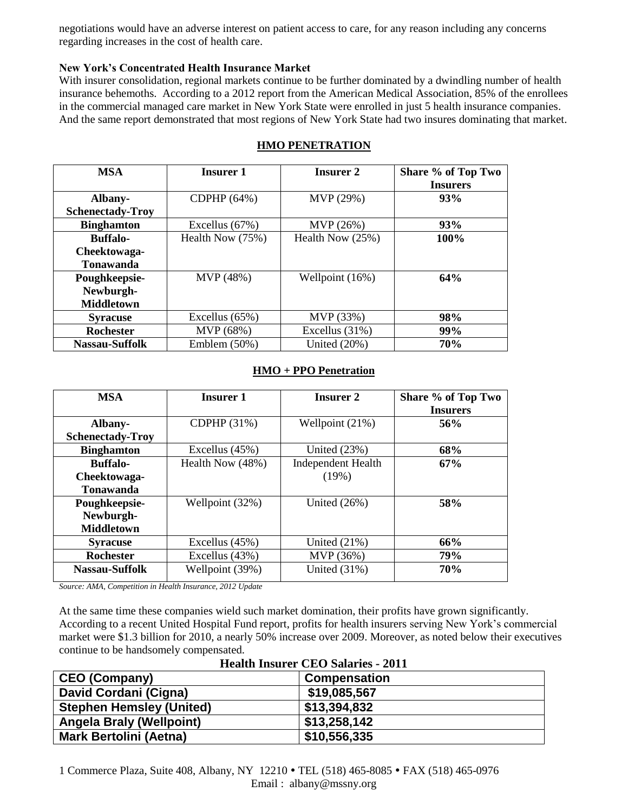negotiations would have an adverse interest on patient access to care, for any reason including any concerns regarding increases in the cost of health care.

### **New York's Concentrated Health Insurance Market**

With insurer consolidation, regional markets continue to be further dominated by a dwindling number of health insurance behemoths. According to a 2012 report from the American Medical Association, 85% of the enrollees in the commercial managed care market in New York State were enrolled in just 5 health insurance companies. And the same report demonstrated that most regions of New York State had two insures dominating that market.

| <b>MSA</b>              | <b>Insurer 1</b> | <b>Insurer 2</b>   | Share % of Top Two |
|-------------------------|------------------|--------------------|--------------------|
|                         |                  |                    | <b>Insurers</b>    |
| Albany-                 | CDPHP (64%)      | MVP (29%)          | 93%                |
| <b>Schenectady-Troy</b> |                  |                    |                    |
| <b>Binghamton</b>       | Excellus $(67%)$ | MVP (26%)          | 93%                |
| <b>Buffalo-</b>         | Health Now (75%) | Health Now $(25%)$ | 100%               |
| Cheektowaga-            |                  |                    |                    |
| <b>Tonawanda</b>        |                  |                    |                    |
| Poughkeepsie-           | MVP (48%)        | Wellpoint (16%)    | 64%                |
| Newburgh-               |                  |                    |                    |
| <b>Middletown</b>       |                  |                    |                    |
| <b>Syracuse</b>         | Excellus $(65%)$ | MVP (33%)          | 98%                |
| <b>Rochester</b>        | MVP (68%)        | Excellus $(31%)$   | 99%                |
| Nassau-Suffolk          | Emblem $(50\%)$  | United $(20%)$     | 70%                |

# **HMO PENETRATION**

#### **HMO + PPO Penetration**

| <b>MSA</b>              | <b>Insurer 1</b> | <b>Insurer 2</b>          | Share % of Top Two<br><b>Insurers</b> |
|-------------------------|------------------|---------------------------|---------------------------------------|
|                         |                  |                           |                                       |
| Albany-                 | CDPHP (31%)      | Wellpoint (21%)           | 56%                                   |
| <b>Schenectady-Troy</b> |                  |                           |                                       |
| <b>Binghamton</b>       | Excellus (45%)   | United $(23%)$            | 68%                                   |
| <b>Buffalo-</b>         | Health Now (48%) | <b>Independent Health</b> | 67%                                   |
| Cheektowaga-            |                  | (19%)                     |                                       |
| Tonawanda               |                  |                           |                                       |
| Poughkeepsie-           | Wellpoint (32%)  | United $(26%)$            | 58%                                   |
| Newburgh-               |                  |                           |                                       |
| <b>Middletown</b>       |                  |                           |                                       |
| <b>Syracuse</b>         | Excellus $(45%)$ | United $(21\%)$           | 66%                                   |
| <b>Rochester</b>        | Excellus (43%)   | MVP (36%)                 | 79%                                   |
| Nassau-Suffolk          | Wellpoint (39%)  | United $(31\%)$           | 70%                                   |

*Source: AMA, Competition in Health Insurance, 2012 Update*

At the same time these companies wield such market domination, their profits have grown significantly. According to a recent United Hospital Fund report, profits for health insurers serving New York's commercial market were \$1.3 billion for 2010, a nearly 50% increase over 2009. Moreover, as noted below their executives continue to be handsomely compensated.

| <b>CEO (Company)</b>            | <b>Compensation</b> |
|---------------------------------|---------------------|
| David Cordani (Cigna)           | \$19,085,567        |
| <b>Stephen Hemsley (United)</b> | \$13,394,832        |
| <b>Angela Braly (Wellpoint)</b> | \$13,258,142        |
| <b>Mark Bertolini (Aetna)</b>   | \$10,556,335        |

## **Health Insurer CEO Salaries - 2011**